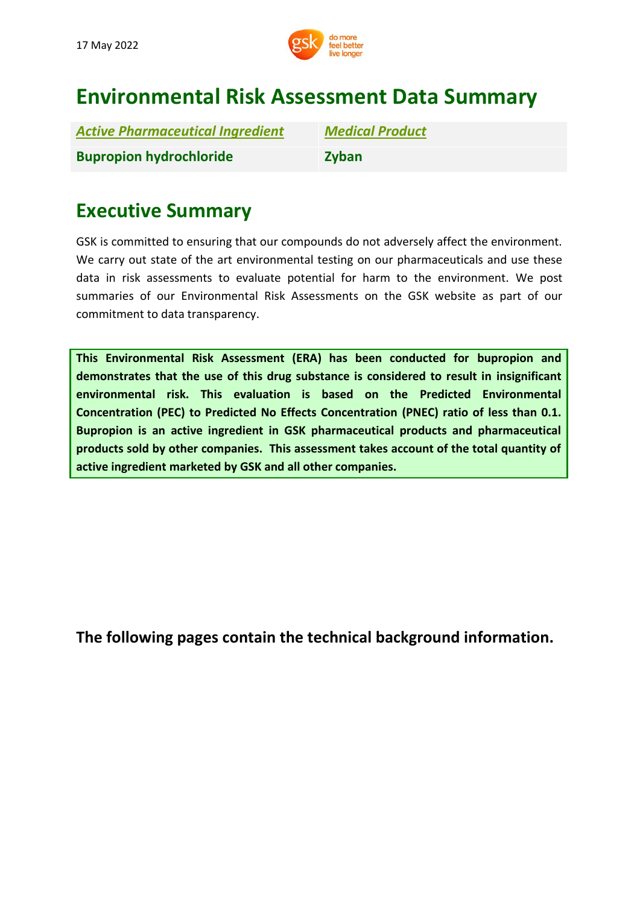

# **Environmental Risk Assessment Data Summary**

| <b>Active Pharmaceutical Ingredient</b> | <b>Medical Product</b> |
|-----------------------------------------|------------------------|
| <b>Bupropion hydrochloride</b>          | <b>Zyban</b>           |

# **Executive Summary**

GSK is committed to ensuring that our compounds do not adversely affect the environment. We carry out state of the art environmental testing on our pharmaceuticals and use these data in risk assessments to evaluate potential for harm to the environment. We post summaries of our Environmental Risk Assessments on the GSK website as part of our commitment to data transparency.

**This Environmental Risk Assessment (ERA) has been conducted for bupropion and demonstrates that the use of this drug substance is considered to result in insignificant environmental risk. This evaluation is based on the Predicted Environmental Concentration (PEC) to Predicted No Effects Concentration (PNEC) ratio of less than 0.1. Bupropion is an active ingredient in GSK pharmaceutical products and pharmaceutical products sold by other companies. This assessment takes account of the total quantity of active ingredient marketed by GSK and all other companies.**

**[The](http://www.gsk.com/bupropion) following pages contain the technical background information.**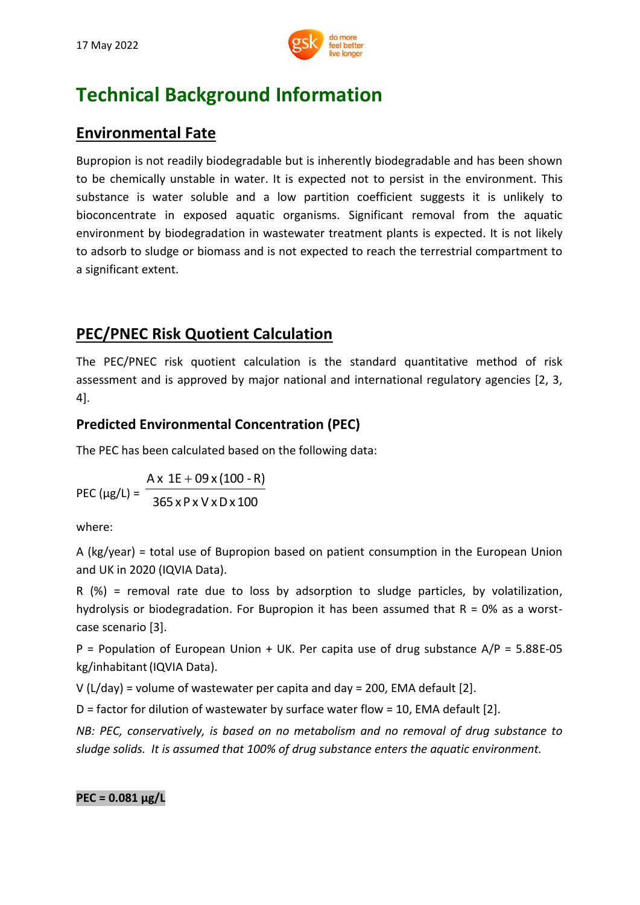

# **Technical Background Information**

## **Environmental Fate**

Bupropion is not readily biodegradable but is inherently biodegradable and has been shown to be chemically unstable in water. It is expected not to persist in the environment. This substance is water soluble and a low partition coefficient suggests it is unlikely to bioconcentrate in exposed aquatic organisms. Significant removal from the aquatic environment by biodegradation in wastewater treatment plants is expected. It is not likely to adsorb to sludge or biomass and is not expected to reach the terrestrial compartment to a significant extent.

## **PEC/PNEC Risk Quotient Calculation**

The PEC/PNEC risk quotient calculation is the standard quantitative method of risk assessment and is approved by major national and international regulatory agencies [2, 3, 4].

## **Predicted Environmental Concentration (PEC)**

The PEC has been calculated based on the following data:

PEC ( $\mu$ g/L) = <sup>-</sup> 365 xP x V xDx 100  $Ax 1E + 09x(100 - R)$ 

where:

A (kg/year) = total use of Bupropion based on patient consumption in the European Union and UK in 2020 (IQVIA Data).

R (%) = removal rate due to loss by adsorption to sludge particles, by volatilization, hydrolysis or biodegradation. For Bupropion it has been assumed that  $R = 0\%$  as a worstcase scenario [3].

P = Population of European Union + UK. Per capita use of drug substance  $A/P = 5.88E-05$ kg/inhabitant(IQVIA Data).

V (L/day) = volume of wastewater per capita and day = 200, EMA default [2].

D = factor for dilution of wastewater by surface water flow = 10, EMA default [2].

*NB: PEC, conservatively, is based on no metabolism and no removal of drug substance to sludge solids. It is assumed that 100% of drug substance enters the aquatic environment.*

**PEC = 0.081 μg/L**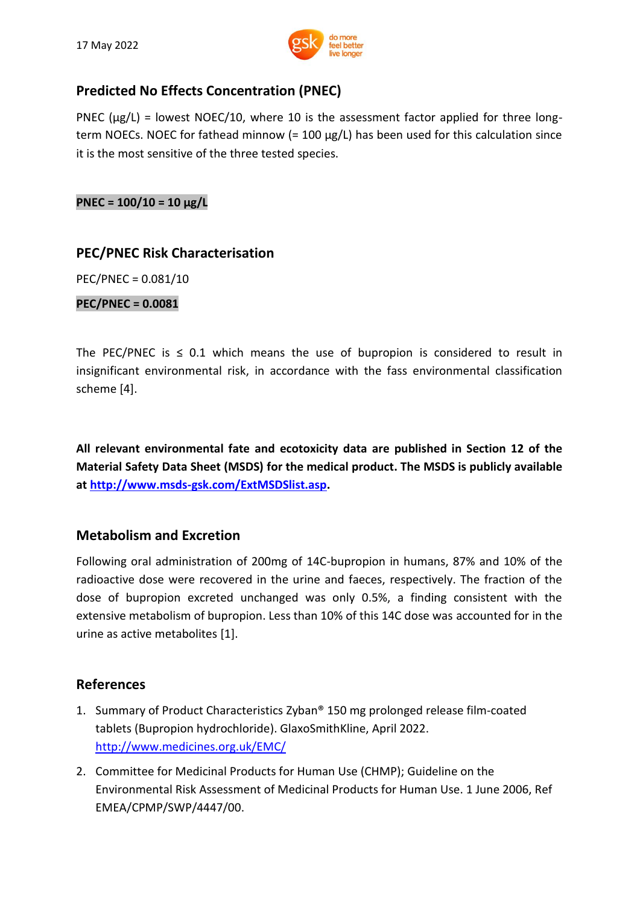

### **Predicted No Effects Concentration (PNEC)**

PNEC ( $\mu$ g/L) = lowest NOEC/10, where 10 is the assessment factor applied for three longterm NOECs. NOEC for fathead minnow  $(= 100 \mu g/L)$  has been used for this calculation since it is the most sensitive of the three tested species.

**PNEC = 100/10 = 10 μg/L**

#### **PEC/PNEC Risk Characterisation**

PEC/PNEC = 0.081/10

**PEC/PNEC = 0.0081**

The PEC/PNEC is  $\leq$  0.1 which means the use of bupropion is considered to result in insignificant environmental risk, in accordance with the fass environmental classification scheme [4].

**All relevant environmental fate and ecotoxicity data are published in Section 12 of the Material Safety Data Sheet (MSDS) for the medical product. The MSDS is publicly available at [http://www.msds-gsk.com/ExtMSDSlist.asp.](http://www.msds-gsk.com/ExtMSDSlist.asp)**

### **Metabolism and Excretion**

Following oral administration of 200mg of 14C-bupropion in humans, 87% and 10% of the radioactive dose were recovered in the urine and faeces, respectively. The fraction of the dose of bupropion excreted unchanged was only 0.5%, a finding consistent with the extensive metabolism of bupropion. Less than 10% of this 14C dose was accounted for in the urine as active metabolites [1].

#### **References**

- 1. Summary of Product Characteristics Zyban® 150 mg prolonged release film-coated tablets (Bupropion hydrochloride). GlaxoSmithKline, April 2022. <http://www.medicines.org.uk/EMC/>
- 2. Committee for Medicinal Products for Human Use (CHMP); Guideline on the Environmental Risk Assessment of Medicinal Products for Human Use. 1 June 2006, Ref EMEA/CPMP/SWP/4447/00.